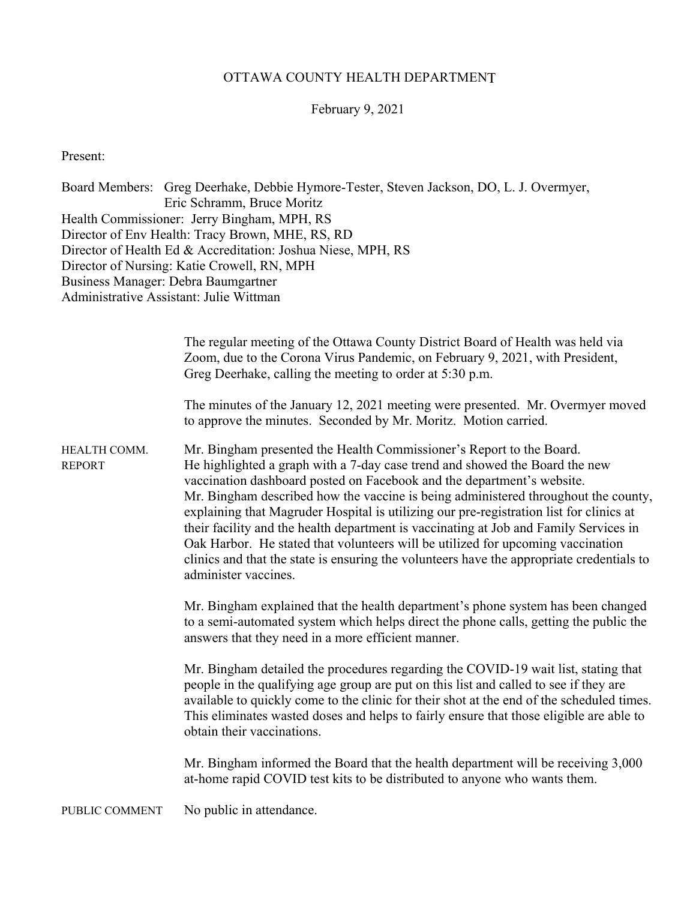## OTTAWA COUNTY HEALTH DEPARTMENT

## February 9, 2021

Present:

Board Members: Greg Deerhake, Debbie Hymore-Tester, Steven Jackson, DO, L. J. Overmyer, Eric Schramm, Bruce Moritz Health Commissioner: Jerry Bingham, MPH, RS Director of Env Health: Tracy Brown, MHE, RS, RD Director of Health Ed & Accreditation: Joshua Niese, MPH, RS Director of Nursing: Katie Crowell, RN, MPH Business Manager: Debra Baumgartner Administrative Assistant: Julie Wittman

|                               | The regular meeting of the Ottawa County District Board of Health was held via<br>Zoom, due to the Corona Virus Pandemic, on February 9, 2021, with President,<br>Greg Deerhake, calling the meeting to order at 5:30 p.m.<br>The minutes of the January 12, 2021 meeting were presented. Mr. Overmyer moved                                                                                                                                                                                                                                                                                                                                                                                                                                                                       |
|-------------------------------|------------------------------------------------------------------------------------------------------------------------------------------------------------------------------------------------------------------------------------------------------------------------------------------------------------------------------------------------------------------------------------------------------------------------------------------------------------------------------------------------------------------------------------------------------------------------------------------------------------------------------------------------------------------------------------------------------------------------------------------------------------------------------------|
| HEALTH COMM.<br><b>REPORT</b> | to approve the minutes. Seconded by Mr. Moritz. Motion carried.<br>Mr. Bingham presented the Health Commissioner's Report to the Board.<br>He highlighted a graph with a 7-day case trend and showed the Board the new<br>vaccination dashboard posted on Facebook and the department's website.<br>Mr. Bingham described how the vaccine is being administered throughout the county,<br>explaining that Magruder Hospital is utilizing our pre-registration list for clinics at<br>their facility and the health department is vaccinating at Job and Family Services in<br>Oak Harbor. He stated that volunteers will be utilized for upcoming vaccination<br>clinics and that the state is ensuring the volunteers have the appropriate credentials to<br>administer vaccines. |
|                               | Mr. Bingham explained that the health department's phone system has been changed<br>to a semi-automated system which helps direct the phone calls, getting the public the<br>answers that they need in a more efficient manner.                                                                                                                                                                                                                                                                                                                                                                                                                                                                                                                                                    |
|                               | Mr. Bingham detailed the procedures regarding the COVID-19 wait list, stating that<br>people in the qualifying age group are put on this list and called to see if they are<br>available to quickly come to the clinic for their shot at the end of the scheduled times.<br>This eliminates wasted doses and helps to fairly ensure that those eligible are able to<br>obtain their vaccinations.                                                                                                                                                                                                                                                                                                                                                                                  |
|                               | Mr. Bingham informed the Board that the health department will be receiving 3,000<br>at-home rapid COVID test kits to be distributed to anyone who wants them.                                                                                                                                                                                                                                                                                                                                                                                                                                                                                                                                                                                                                     |

PUBLIC COMMENT No public in attendance.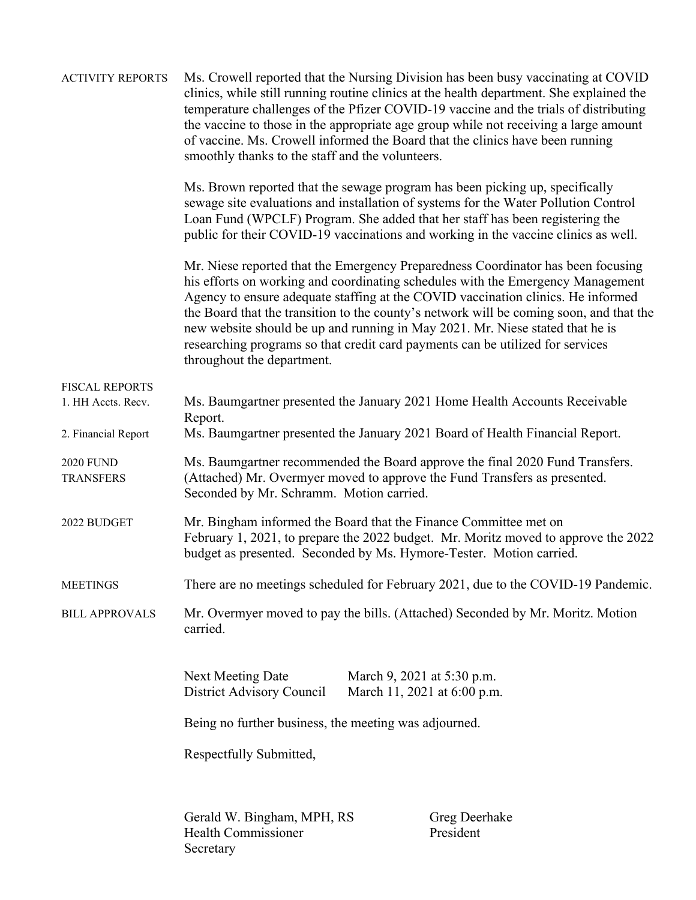| <b>ACTIVITY REPORTS</b>              | Ms. Crowell reported that the Nursing Division has been busy vaccinating at COVID<br>clinics, while still running routine clinics at the health department. She explained the<br>temperature challenges of the Pfizer COVID-19 vaccine and the trials of distributing<br>the vaccine to those in the appropriate age group while not receiving a large amount<br>of vaccine. Ms. Crowell informed the Board that the clinics have been running<br>smoothly thanks to the staff and the volunteers.                                                  |                                                           |  |  |
|--------------------------------------|-----------------------------------------------------------------------------------------------------------------------------------------------------------------------------------------------------------------------------------------------------------------------------------------------------------------------------------------------------------------------------------------------------------------------------------------------------------------------------------------------------------------------------------------------------|-----------------------------------------------------------|--|--|
|                                      | Ms. Brown reported that the sewage program has been picking up, specifically<br>sewage site evaluations and installation of systems for the Water Pollution Control<br>Loan Fund (WPCLF) Program. She added that her staff has been registering the<br>public for their COVID-19 vaccinations and working in the vaccine clinics as well.                                                                                                                                                                                                           |                                                           |  |  |
|                                      | Mr. Niese reported that the Emergency Preparedness Coordinator has been focusing<br>his efforts on working and coordinating schedules with the Emergency Management<br>Agency to ensure adequate staffing at the COVID vaccination clinics. He informed<br>the Board that the transition to the county's network will be coming soon, and that the<br>new website should be up and running in May 2021. Mr. Niese stated that he is<br>researching programs so that credit card payments can be utilized for services<br>throughout the department. |                                                           |  |  |
| FISCAL REPORTS                       |                                                                                                                                                                                                                                                                                                                                                                                                                                                                                                                                                     |                                                           |  |  |
| 1. HH Accts. Recv.                   | Ms. Baumgartner presented the January 2021 Home Health Accounts Receivable                                                                                                                                                                                                                                                                                                                                                                                                                                                                          |                                                           |  |  |
| 2. Financial Report                  | Report.<br>Ms. Baumgartner presented the January 2021 Board of Health Financial Report.                                                                                                                                                                                                                                                                                                                                                                                                                                                             |                                                           |  |  |
| <b>2020 FUND</b><br><b>TRANSFERS</b> | Ms. Baumgartner recommended the Board approve the final 2020 Fund Transfers.<br>(Attached) Mr. Overmyer moved to approve the Fund Transfers as presented.<br>Seconded by Mr. Schramm. Motion carried.                                                                                                                                                                                                                                                                                                                                               |                                                           |  |  |
| 2022 BUDGET                          | Mr. Bingham informed the Board that the Finance Committee met on<br>February 1, 2021, to prepare the 2022 budget. Mr. Moritz moved to approve the 2022<br>budget as presented. Seconded by Ms. Hymore-Tester. Motion carried.                                                                                                                                                                                                                                                                                                                       |                                                           |  |  |
| <b>MEETINGS</b>                      | There are no meetings scheduled for February 2021, due to the COVID-19 Pandemic.                                                                                                                                                                                                                                                                                                                                                                                                                                                                    |                                                           |  |  |
| <b>BILL APPROVALS</b>                | Mr. Overmyer moved to pay the bills. (Attached) Seconded by Mr. Moritz. Motion<br>carried.                                                                                                                                                                                                                                                                                                                                                                                                                                                          |                                                           |  |  |
|                                      | Next Meeting Date<br>District Advisory Council                                                                                                                                                                                                                                                                                                                                                                                                                                                                                                      | March 9, 2021 at 5:30 p.m.<br>March 11, 2021 at 6:00 p.m. |  |  |
|                                      | Being no further business, the meeting was adjourned.                                                                                                                                                                                                                                                                                                                                                                                                                                                                                               |                                                           |  |  |
|                                      | Respectfully Submitted,                                                                                                                                                                                                                                                                                                                                                                                                                                                                                                                             |                                                           |  |  |
|                                      | Gerald W. Bingham, MPH, RS<br><b>Health Commissioner</b><br>Secretary                                                                                                                                                                                                                                                                                                                                                                                                                                                                               | Greg Deerhake<br>President                                |  |  |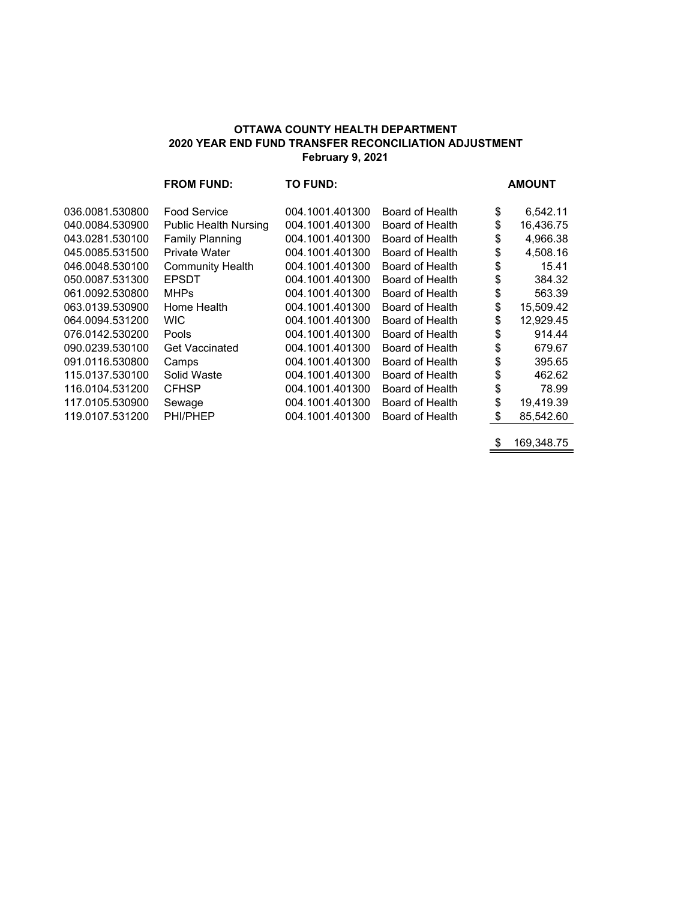#### **OTTAWA COUNTY HEALTH DEPARTMENT 2020 YEAR END FUND TRANSFER RECONCILIATION ADJUSTMENT February 9, 2021**

|                 | <b>FROM FUND:</b>            | <b>TO FUND:</b> |                 | <b>AMOUNT</b>   |
|-----------------|------------------------------|-----------------|-----------------|-----------------|
| 036.0081.530800 | <b>Food Service</b>          | 004.1001.401300 | Board of Health | \$<br>6,542.11  |
| 040.0084.530900 | <b>Public Health Nursing</b> | 004.1001.401300 | Board of Health | \$<br>16,436.75 |
| 043.0281.530100 | <b>Family Planning</b>       | 004.1001.401300 | Board of Health | \$<br>4,966.38  |
| 045.0085.531500 | <b>Private Water</b>         | 004.1001.401300 | Board of Health | \$<br>4,508.16  |
| 046.0048.530100 | <b>Community Health</b>      | 004.1001.401300 | Board of Health | \$<br>15.41     |
| 050.0087.531300 | <b>EPSDT</b>                 | 004.1001.401300 | Board of Health | \$<br>384.32    |
| 061.0092.530800 | <b>MHPs</b>                  | 004.1001.401300 | Board of Health | \$<br>563.39    |
| 063.0139.530900 | Home Health                  | 004.1001.401300 | Board of Health | \$<br>15,509.42 |
| 064.0094.531200 | WIC.                         | 004.1001.401300 | Board of Health | \$<br>12,929.45 |
| 076.0142.530200 | Pools                        | 004.1001.401300 | Board of Health | \$<br>914.44    |
| 090.0239.530100 | <b>Get Vaccinated</b>        | 004.1001.401300 | Board of Health | \$<br>679.67    |
| 091.0116.530800 | Camps                        | 004.1001.401300 | Board of Health | \$<br>395.65    |
| 115.0137.530100 | Solid Waste                  | 004.1001.401300 | Board of Health | \$<br>462.62    |
| 116.0104.531200 | <b>CFHSP</b>                 | 004.1001.401300 | Board of Health | \$<br>78.99     |
| 117.0105.530900 | Sewage                       | 004.1001.401300 | Board of Health | \$<br>19,419.39 |
| 119.0107.531200 | PHI/PHEP                     | 004.1001.401300 | Board of Health | \$<br>85,542.60 |
|                 |                              |                 |                 |                 |

\$ 169,348.75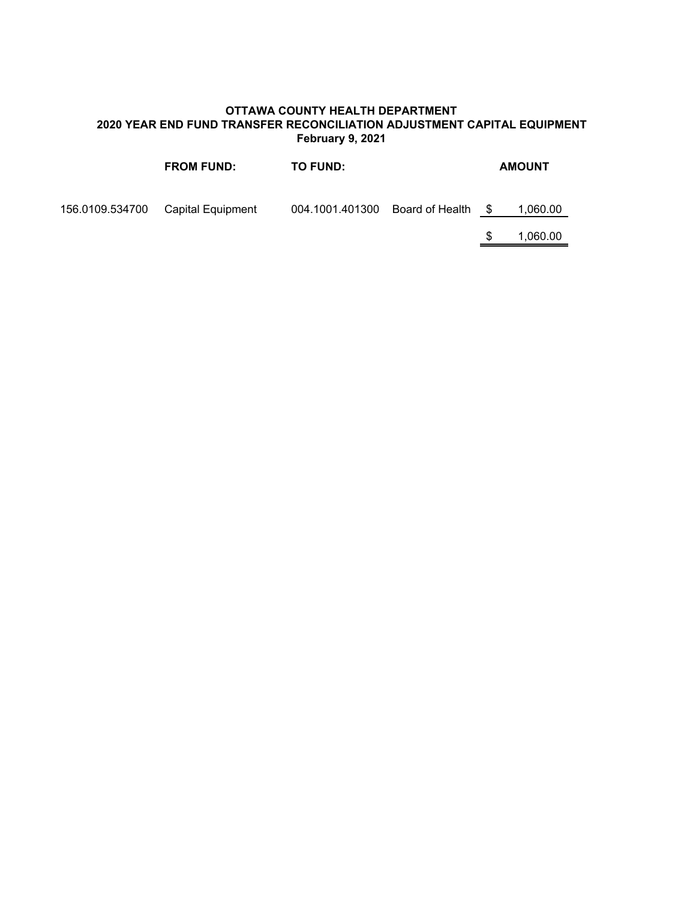### **OTTAWA COUNTY HEALTH DEPARTMENT 2020 YEAR END FUND TRANSFER RECONCILIATION ADJUSTMENT CAPITAL EQUIPMENT February 9, 2021**

|                 | <b>FROM FUND:</b> | <b>TO FUND:</b>                 |      | <b>AMOUNT</b> |
|-----------------|-------------------|---------------------------------|------|---------------|
| 156.0109.534700 | Capital Equipment | 004.1001.401300 Board of Health | - \$ | 1,060.00      |
|                 |                   |                                 |      | 1,060.00      |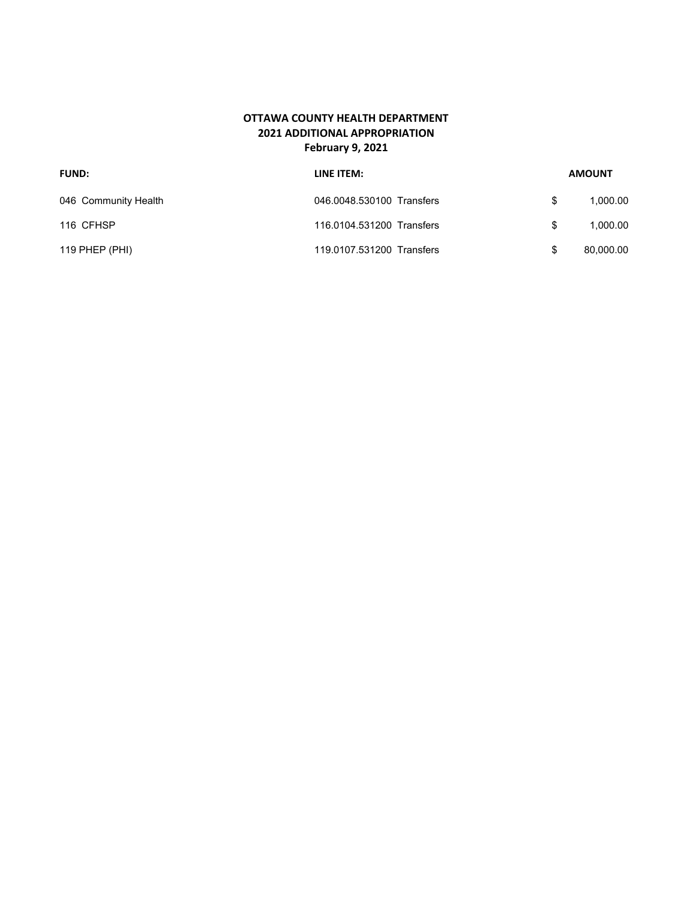### **OTTAWA COUNTY HEALTH DEPARTMENT 2021 ADDITIONAL APPROPRIATION February 9, 2021**

| <b>FUND:</b>         | LINE ITEM:                |     | <b>AMOUNT</b> |
|----------------------|---------------------------|-----|---------------|
| 046 Community Health | 046.0048.530100 Transfers | \$. | 1.000.00      |
| 116 CFHSP            | 116.0104.531200 Transfers | S   | 1.000.00      |
| 119 PHEP $(PHI)$     | 119.0107.531200 Transfers |     | 80,000.00     |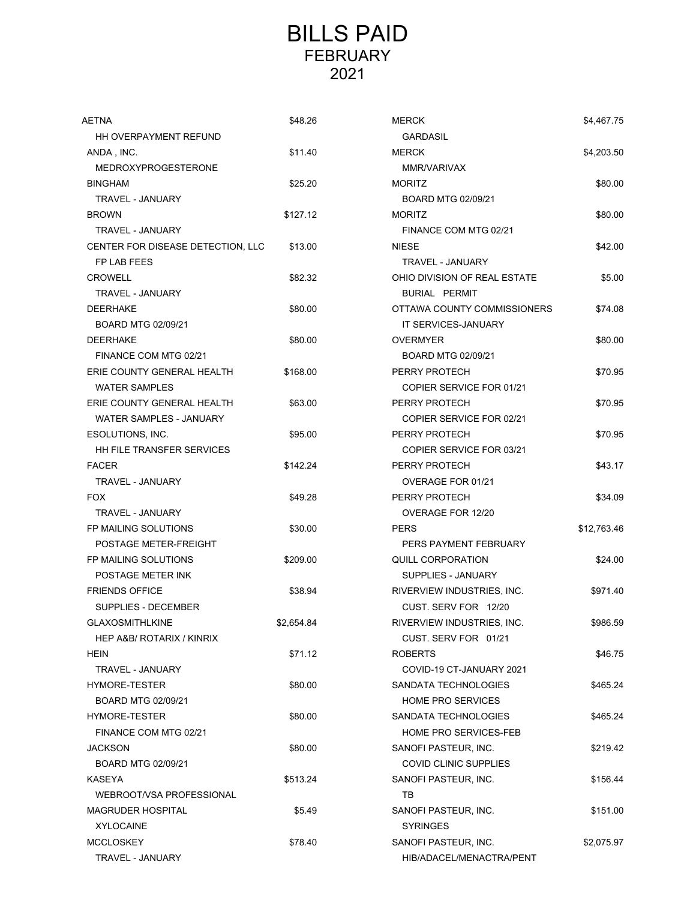# BILLS PAID FEBRUARY 2021

| AETNA                             | \$48.26    | <b>MERCK</b>                 | \$4,467.75  |
|-----------------------------------|------------|------------------------------|-------------|
| HH OVERPAYMENT REFUND             |            | <b>GARDASIL</b>              |             |
| ANDA, INC.                        | \$11.40    | <b>MERCK</b>                 | \$4,203.50  |
| <b>MEDROXYPROGESTERONE</b>        |            | MMR/VARIVAX                  |             |
| <b>BINGHAM</b>                    | \$25.20    | <b>MORITZ</b>                | \$80.00     |
| TRAVEL - JANUARY                  |            | BOARD MTG 02/09/21           |             |
| <b>BROWN</b>                      | \$127.12   | <b>MORITZ</b>                | \$80.00     |
| <b>TRAVEL - JANUARY</b>           |            | FINANCE COM MTG 02/21        |             |
| CENTER FOR DISEASE DETECTION, LLC | \$13.00    | <b>NIESE</b>                 | \$42.00     |
| FP LAB FEES                       |            | TRAVEL - JANUARY             |             |
| <b>CROWELL</b>                    | \$82.32    | OHIO DIVISION OF REAL ESTATE | \$5.00      |
| <b>TRAVEL - JANUARY</b>           |            | <b>BURIAL PERMIT</b>         |             |
| <b>DEERHAKE</b>                   | \$80.00    | OTTAWA COUNTY COMMISSIONERS  | \$74.08     |
| BOARD MTG 02/09/21                |            | IT SERVICES-JANUARY          |             |
| <b>DEERHAKE</b>                   | \$80.00    | <b>OVERMYER</b>              | \$80.00     |
| FINANCE COM MTG 02/21             |            | BOARD MTG 02/09/21           |             |
| ERIE COUNTY GENERAL HEALTH        | \$168.00   | PERRY PROTECH                | \$70.95     |
| <b>WATER SAMPLES</b>              |            | COPIER SERVICE FOR 01/21     |             |
| ERIE COUNTY GENERAL HEALTH        | \$63.00    | PERRY PROTECH                | \$70.95     |
| WATER SAMPLES - JANUARY           |            | COPIER SERVICE FOR 02/21     |             |
| ESOLUTIONS, INC.                  | \$95.00    | PERRY PROTECH                | \$70.95     |
| <b>HH FILE TRANSFER SERVICES</b>  |            | COPIER SERVICE FOR 03/21     |             |
| <b>FACER</b>                      | \$142.24   | PERRY PROTECH                | \$43.17     |
| TRAVEL - JANUARY                  |            | OVERAGE FOR 01/21            |             |
| <b>FOX</b>                        | \$49.28    | PERRY PROTECH                | \$34.09     |
| TRAVEL - JANUARY                  |            | OVERAGE FOR 12/20            |             |
| FP MAILING SOLUTIONS              | \$30.00    | <b>PERS</b>                  | \$12,763.46 |
| POSTAGE METER-FREIGHT             |            | PERS PAYMENT FEBRUARY        |             |
| FP MAILING SOLUTIONS              | \$209.00   | QUILL CORPORATION            | \$24.00     |
| POSTAGE METER INK                 |            | SUPPLIES - JANUARY           |             |
| <b>FRIENDS OFFICE</b>             | \$38.94    | RIVERVIEW INDUSTRIES, INC.   | \$971.40    |
| SUPPLIES - DECEMBER               |            | CUST. SERV FOR 12/20         |             |
| <b>GLAXOSMITHLKINE</b>            | \$2,654.84 | RIVERVIEW INDUSTRIES, INC.   | \$986.59    |
| HEP A&B/ ROTARIX / KINRIX         |            | CUST. SERV FOR 01/21         |             |
| HEIN                              | \$71.12    | <b>ROBERTS</b>               | \$46.75     |
| TRAVEL - JANUARY                  |            | COVID-19 CT-JANUARY 2021     |             |
| HYMORE-TESTER                     | \$80.00    | SANDATA TECHNOLOGIES         | \$465.24    |
| BOARD MTG 02/09/21                |            | <b>HOME PRO SERVICES</b>     |             |
| HYMORE-TESTER                     | \$80.00    | SANDATA TECHNOLOGIES         | \$465.24    |
| FINANCE COM MTG 02/21             |            | <b>HOME PRO SERVICES-FEB</b> |             |
| <b>JACKSON</b>                    | \$80.00    | SANOFI PASTEUR, INC.         | \$219.42    |
| BOARD MTG 02/09/21                |            | COVID CLINIC SUPPLIES        |             |
| KASEYA                            | \$513.24   | SANOFI PASTEUR, INC.         | \$156.44    |
| WEBROOT/VSA PROFESSIONAL          |            | TB                           |             |
| <b>MAGRUDER HOSPITAL</b>          | \$5.49     | SANOFI PASTEUR, INC.         | \$151.00    |
| <b>XYLOCAINE</b>                  |            | <b>SYRINGES</b>              |             |
| <b>MCCLOSKEY</b>                  | \$78.40    | SANOFI PASTEUR, INC.         | \$2,075.97  |
| TRAVEL - JANUARY                  |            | HIB/ADACEL/MENACTRA/PENT     |             |